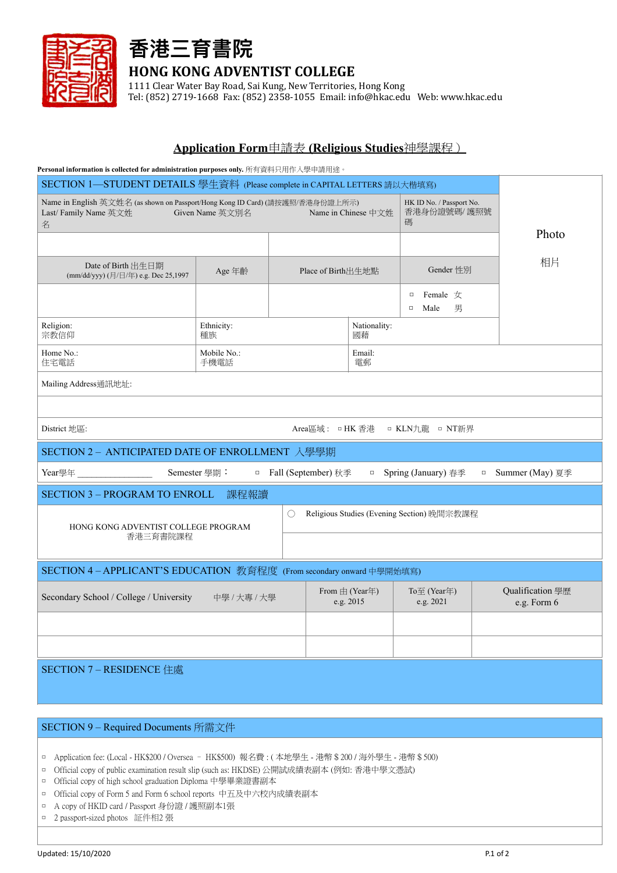

## **香港三育書院 HONG KONG ADVENTIST COLLEGE**

1111 Clear Water Bay Road, Sai Kung, New Territories, Hong Kong

Tel: (852) 2719-1668 Fax: (852) 2358-1055 Email: info@hkac.edu Web: www.hkac.edu

## **Application Form**申請表 **(Religious Studies**神學課程)

| Personal information is collected for administration purposes only. 所有資料只用作入學申請用途。                                             |                     |                                            |                                 |                     |                                               |    |                                 |  |  |
|--------------------------------------------------------------------------------------------------------------------------------|---------------------|--------------------------------------------|---------------------------------|---------------------|-----------------------------------------------|----|---------------------------------|--|--|
| SECTION 1—STUDENT DETAILS 學生資料 (Please complete in CAPITAL LETTERS 請以大楷填寫)                                                     |                     |                                            |                                 |                     |                                               |    |                                 |  |  |
| Name in English 英文姓名 (as shown on Passport/Hong Kong ID Card) (請按護照/香港身份證上所示)<br>Last/ Family Name 英文姓<br>Given Name 英文別名<br>名 |                     |                                            |                                 | Name in Chinese 中文姓 | HK ID No. / Passport No.<br>香港身份證號碼/ 護照號<br>碼 |    |                                 |  |  |
|                                                                                                                                |                     |                                            |                                 |                     |                                               |    | Photo                           |  |  |
| Date of Birth 出生日期<br>(mm/dd/yyy) (月/日/年) e.g. Dec 25,1997                                                                     | Age 年齡              | Place of Birth出生地點                         |                                 | Gender 性別           |                                               | 相片 |                                 |  |  |
|                                                                                                                                |                     |                                            |                                 |                     | Female $\pm$<br>$\Box$<br>男<br>Male<br>$\Box$ |    |                                 |  |  |
| Religion:<br>宗教信仰                                                                                                              | Ethnicity:<br>種族    | 國藉                                         |                                 | Nationality:        |                                               |    |                                 |  |  |
| Home No.:<br>住宅電話                                                                                                              | Mobile No.:<br>手機電話 |                                            |                                 | Email:<br>電郵        |                                               |    |                                 |  |  |
| Mailing Address通訊地址:                                                                                                           |                     |                                            |                                 |                     |                                               |    |                                 |  |  |
|                                                                                                                                |                     |                                            |                                 |                     |                                               |    |                                 |  |  |
| District 地區:<br>Area區域: □HK 香港 □ KLN九龍 □ NT新界                                                                                  |                     |                                            |                                 |                     |                                               |    |                                 |  |  |
| SECTION 2 - ANTICIPATED DATE OF ENROLLMENT 入學學期                                                                                |                     |                                            |                                 |                     |                                               |    |                                 |  |  |
| Year學年<br>Semester 學期:<br>□ Fall (September) 秋季<br>□ Spring (January) 春季<br>Summer (May) 夏季<br>$\Box$                          |                     |                                            |                                 |                     |                                               |    |                                 |  |  |
| <b>SECTION 3 - PROGRAM TO ENROLL</b><br>課程報讀                                                                                   |                     |                                            |                                 |                     |                                               |    |                                 |  |  |
| HONG KONG ADVENTIST COLLEGE PROGRAM                                                                                            | ()                  | Religious Studies (Evening Section) 晚間宗教課程 |                                 |                     |                                               |    |                                 |  |  |
| 香港三育書院課程                                                                                                                       |                     |                                            |                                 |                     |                                               |    |                                 |  |  |
| SECTION 4-APPLICANT'S EDUCATION 教育程度 (From secondary onward 中學開始填寫)                                                            |                     |                                            |                                 |                     |                                               |    |                                 |  |  |
| Secondary School / College / University<br>中學 / 大專 / 大學                                                                        |                     |                                            | From $\pm$ (Year年)<br>e.g. 2015 |                     | To至 (Year年)<br>e.g. 2021                      |    | Qualification 學歷<br>e.g. Form 6 |  |  |
|                                                                                                                                |                     |                                            |                                 |                     |                                               |    |                                 |  |  |
|                                                                                                                                |                     |                                            |                                 |                     |                                               |    |                                 |  |  |
| SECTION 7 - RESIDENCE 住處                                                                                                       |                     |                                            |                                 |                     |                                               |    |                                 |  |  |

## SECTION 9 – Required Documents 所需文件

- □ Application fee: (Local HK\$200 / Oversea HK\$500) 報名費 : ( 本地學生 港幣\$200 / 海外學生 港幣\$500)
- □ Official copy of public examination result slip (such as: HKDSE) 公開試成績表副本 (例如: 香港中學文憑試)
- □ Official copy of high school graduation Diploma 中學畢業證書副本
- □ Official copy of Form 5 and Form 6 school reports 中五及中六校内成績表副本
- □ A copy of HKID card / Passport 身份證 / 護照副本1張
- □ 2 passport-sized photos 証件相2 張